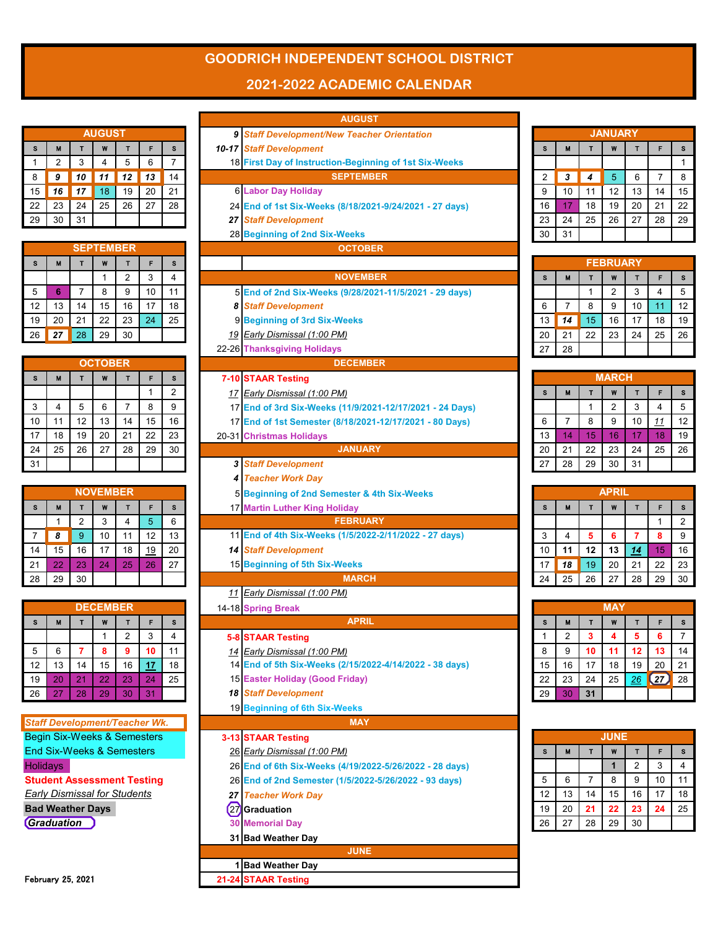## **GOODRICH INDEPENDENT SCHOOL DISTRICT**

## **2021-2022 ACADEMIC CALENDAR**

| <b>AUGUST</b> |    |    |    |    |    |    |  |  |  |  |
|---------------|----|----|----|----|----|----|--|--|--|--|
| S             | M  |    | W  |    | F  | S  |  |  |  |  |
|               | 2  | 3  | 4  | 5  | 6  |    |  |  |  |  |
| 8             | 9  | 10 | 11 | 12 | 13 | 14 |  |  |  |  |
| 15            | 16 | 17 | 18 | 19 | 20 | 21 |  |  |  |  |
| 22            | 23 | 24 | 25 | 26 | 27 | 28 |  |  |  |  |
| 29            | 30 | 31 |    |    |    |    |  |  |  |  |
|               |    |    |    |    |    |    |  |  |  |  |

|    | <b>SEPTEMBER</b> |    |    |                |    |    |  |  |  |  |  |
|----|------------------|----|----|----------------|----|----|--|--|--|--|--|
| S  | M                |    | W  |                | F  | s  |  |  |  |  |  |
|    |                  |    |    | $\overline{2}$ | 3  |    |  |  |  |  |  |
| 5  | 6                |    | 8  | 9              | 10 | 11 |  |  |  |  |  |
| 12 | 13               | 14 | 15 | 16             | 17 | 18 |  |  |  |  |  |
| 19 | 20               | 21 | 22 | 23             | 24 | 25 |  |  |  |  |  |
| 26 | 27               | 28 | 29 | 30             |    |    |  |  |  |  |  |

|           |                |    |    | <b>OCTOBER</b> |    |    |    |
|-----------|----------------|----|----|----------------|----|----|----|
| $7 - 10$  | s              | F  |    | W              |    | M  | s  |
| <u>17</u> | $\overline{2}$ |    |    |                |    |    |    |
| 17        | 9              | 8  |    | 6              | 5  | 4  | 3  |
| 17        | 16             | 15 | 14 | 13             | 12 | 11 | 10 |
| 20-31     | 23             | 22 | 21 | 20             | 19 | 18 | 17 |
|           | 30             | 29 | 28 | 27             | 26 | 25 | 24 |
| 3         |                |    |    |                |    |    | 31 |

|    | <b>NOVEMBER</b> |    |    |    |           |    |  |  |  |  |  |
|----|-----------------|----|----|----|-----------|----|--|--|--|--|--|
| S  | M               | т  | W  |    | F         | S  |  |  |  |  |  |
|    |                 | 2  | 3  | 4  | 5         | 6  |  |  |  |  |  |
|    | 8               | 9  | 10 | 11 | 12        | 13 |  |  |  |  |  |
| 14 | 15              | 16 | 17 | 18 | <u>19</u> | 20 |  |  |  |  |  |
| 21 | 22              | 23 | 24 | 25 | 26        | 27 |  |  |  |  |  |
| 28 | 29              | 30 |    |    |           |    |  |  |  |  |  |

|    | <b>DECEMBER</b> |    |    |                |            |    |  |  |  |  |  |  |
|----|-----------------|----|----|----------------|------------|----|--|--|--|--|--|--|
| S  | M               |    | W  |                | F          | S  |  |  |  |  |  |  |
|    |                 |    |    | $\overline{2}$ | 3          |    |  |  |  |  |  |  |
| 5  | 6               |    | 8  | 9              | 10         | 11 |  |  |  |  |  |  |
| 12 | 13              | 14 | 15 | 16             | <u> 17</u> | 18 |  |  |  |  |  |  |
| 19 | 20              | 21 | 22 | 23             | 24         | 25 |  |  |  |  |  |  |
| 26 | 27              | 28 | 29 | 30             | 31         |    |  |  |  |  |  |  |

|                 |                                        |                |                   |                     |          |                | <b>AUGUST</b>                                                                           |                |                         |              |                 |                |                    |                |
|-----------------|----------------------------------------|----------------|-------------------|---------------------|----------|----------------|-----------------------------------------------------------------------------------------|----------------|-------------------------|--------------|-----------------|----------------|--------------------|----------------|
|                 |                                        |                | AUGUST            |                     |          |                | 9 Staff Development/New Teacher Orientation                                             |                |                         |              | <b>JANUARY</b>  |                |                    |                |
| s               | M                                      | $\mathsf{T}$   | W                 | $\mathsf{T}$        | F        | s              | <b>10-17 Staff Development</b>                                                          | s              | M                       | $\mathbf{T}$ | W               | $\mathbf{T}$   | F                  | S              |
| 1               | $\overline{2}$                         | 3              | 4                 | 5                   | 6        | $\overline{7}$ | 18 First Day of Instruction-Beginning of 1st Six-Weeks                                  |                |                         |              |                 |                |                    | $\overline{1}$ |
| 8               | 9                                      | 10             | 11                | 12                  | 13       | 14             | <b>SEPTEMBER</b>                                                                        | $\overline{2}$ | 3                       | 4            | 5               | 6              | $\overline{7}$     | 8              |
| 15              | 16                                     | 17             | 18                | 19                  | 20       | 21             | <b>6 Labor Day Holiday</b>                                                              | 9              | 10                      | 11           | 12              | 13             | 14                 | 15             |
| 22              | 23                                     | 24             | 25                | 26                  | 27       | 28             | 24 End of 1st Six-Weeks (8/18/2021-9/24/2021 - 27 days)                                 | 16             | 17                      | 18           | 19              | 20             | 21                 | 22             |
| 29              | 30                                     | 31             |                   |                     |          |                | 27 Staff Development                                                                    | 23             | 24                      | 25           | 26              | 27             | 28                 | 29             |
|                 |                                        |                |                   |                     |          |                | 28 Beginning of 2nd Six-Weeks                                                           | 30             | 31                      |              |                 |                |                    |                |
|                 |                                        |                | <b>SEPTEMBER</b>  |                     |          |                | <b>OCTOBER</b>                                                                          |                |                         |              |                 |                |                    |                |
| s               | M                                      | T              | W                 | T                   | F        | s              |                                                                                         |                |                         |              | <b>FEBRUARY</b> |                |                    |                |
|                 |                                        |                | 1                 | $\overline{2}$      | 3        | 4              | <b>NOVEMBER</b>                                                                         | s              | M                       | $\mathbf{T}$ | W               | $\mathbf{T}$   | F                  | s              |
| 5               | 6                                      | $\overline{7}$ | 8                 | 9                   | 10       | 11             | 5 End of 2nd Six-Weeks (9/28/2021-11/5/2021 - 29 days)                                  |                |                         | $\mathbf{1}$ | $\overline{2}$  | 3              | 4                  | 5              |
| 12              | 13                                     | 14             | 15                | 16                  | 17       | 18             | <b>8 Staff Development</b>                                                              | 6              | $\overline{7}$          | 8            | 9               | 10             | 11                 | 12             |
| 19              | 20                                     | 21             | 22                | 23                  | 24       | 25             | 9 Beginning of 3rd Six-Weeks                                                            | 13             | 14                      | 15           | 16              | 17             | 18                 | 19             |
| 26              | 27                                     | 28             | 29                | 30                  |          |                | 19 Early Dismissal (1:00 PM)                                                            | 20             | 21                      | 22           | 23              | 24             | 25                 | 26             |
|                 |                                        |                |                   |                     |          |                | 22-26 Thanksgiving Holidays                                                             | 27             | 28                      |              |                 |                |                    |                |
|                 |                                        |                | <b>OCTOBER</b>    |                     |          |                | <b>DECEMBER</b>                                                                         |                |                         |              |                 |                |                    |                |
| s               | M                                      | T              | W                 | $\mathbf{T}$        | F        | s              | 7-10 STAAR Testing                                                                      |                |                         |              | <b>MARCH</b>    |                |                    |                |
|                 |                                        |                |                   |                     | 1        | $\overline{2}$ | 17 Early Dismissal (1:00 PM)                                                            | s              | M                       | $\mathbf{T}$ | W               | T              | F.                 | s              |
| 3               | 4                                      | 5              | 6                 | $\overline{7}$      | 8        | 9              | 17 End of 3rd Six-Weeks (11/9/2021-12/17/2021 - 24 Days)                                |                |                         | $\mathbf{1}$ | $\overline{2}$  | 3              | 4                  | 5              |
| 10              | 11                                     | 12             | 13                | 14                  | 15       | 16             | 17 End of 1st Semester (8/18/2021-12/17/2021 - 80 Days)                                 | 6              | $\overline{7}$          | 8            | 9               | 10             | 11                 | 12             |
| 17              | 18                                     | 19             | 20                | 21                  | 22       | 23             | 20-31 Christmas Holidays                                                                | 13             | 14                      | 15           | 16              | 17             | 18                 | 19             |
| 24              | 25                                     | 26             | 27                | 28                  | 29       | 30             | <b>JANUARY</b>                                                                          | 20             | 21                      | 22           | 23              | 24             | 25                 | 26             |
| 31              |                                        |                |                   |                     |          |                | <b>3 Staff Development</b>                                                              | 27             | 28                      | 29           | 30              | 31             |                    |                |
|                 |                                        |                |                   |                     |          |                | <b>4 Teacher Work Day</b>                                                               |                |                         |              |                 |                |                    |                |
|                 |                                        |                | <b>NOVEMBER</b>   |                     |          |                | 5 Beginning of 2nd Semester & 4th Six-Weeks                                             |                |                         |              | <b>APRIL</b>    |                |                    |                |
| s               | M                                      | T              | W                 | T                   | F        | s              | 17 Martin Luther King Holiday                                                           | s              | M                       | $\mathbf{T}$ | W               | T              | F                  | s              |
|                 | $\mathbf{1}$                           | $\overline{2}$ | 3                 | $\overline{4}$      | 5        | 6              | <b>FEBRUARY</b>                                                                         |                |                         |              |                 |                | $\mathbf{1}$       | $\overline{2}$ |
| $\overline{7}$  | 8                                      | 9              | 10                | 11                  | 12       | 13             | 11 End of 4th Six-Weeks (1/5/2022-2/11/2022 - 27 days)                                  | 3              | 4                       | 5            | 6               | $\overline{7}$ | 8                  | 9              |
| 14              | 15                                     | 16             | 17                | 18                  | 19       | 20             | <b>14 Staff Development</b>                                                             | 10             | 11                      | 12           | 13              | 14             | 15                 | 16             |
| 21              | 22                                     | 23             | 24                | 25                  | 26       | 27             | 15 Beginning of 5th Six-Weeks                                                           | 17             | 18                      | 19           | 20              | 21             | 22                 | 23             |
| 28              | 29                                     | 30             |                   |                     |          |                | <b>MARCH</b>                                                                            | 24             | 25                      | 26           | 27              | 28             | 29                 | 3 <sub>0</sub> |
|                 |                                        |                | <b>DECEMBER</b>   |                     |          |                | 11 Early Dismissal (1:00 PM)                                                            |                |                         |              | <b>MAY</b>      |                |                    |                |
| s               | M                                      | T              |                   |                     | F        | S              | 14-18 Spring Break<br><b>APRIL</b>                                                      | s              | M                       | T            | W               | T              | F                  | s              |
|                 |                                        |                | W<br>$\mathbf{1}$ | т<br>$\overline{2}$ | 3        | 4              |                                                                                         | $\mathbf{1}$   | $\overline{\mathbf{c}}$ | 3            |                 | 5              |                    | $\overline{7}$ |
| 5               | 6                                      | $\overline{7}$ | 8                 | 9                   | 10       | 11             | <b>5-8 STAAR Testing</b>                                                                | 8              | 9                       | 10           | 11              | 12             | o<br>13            | 14             |
| 12              | 13                                     | 14             | 15                |                     |          | 18             | 14 Early Dismissal (1:00 PM)<br>14 End of 5th Six-Weeks (2/15/2022-4/14/2022 - 38 days) | 15             | 16                      | 17           | 18              | 19             | 20                 | 21             |
| 19              | 20                                     | 21             | 22                | 16<br>23            | 17<br>24 | 25             | 15 Easter Holiday (Good Friday)                                                         | 22             | 23                      | 24           | 25              | 26             | $\left( 27\right)$ | 28             |
| 26              | 27                                     | 28             | 29                | 30                  | 31       |                | <b>18 Staff Development</b>                                                             | 29             | 30                      | 31           |                 |                |                    |                |
|                 |                                        |                |                   |                     |          |                | 19 Beginning of 6th Six-Weeks                                                           |                |                         |              |                 |                |                    |                |
|                 | <b>Staff Development/Teacher Wk.</b>   |                |                   |                     |          |                | <b>MAY</b>                                                                              |                |                         |              |                 |                |                    |                |
|                 | <b>Begin Six-Weeks &amp; Semesters</b> |                |                   |                     |          |                | 3-13 STAAR Testing                                                                      |                |                         |              | <b>JUNE</b>     |                |                    |                |
|                 | <b>End Six-Weeks &amp; Semesters</b>   |                |                   |                     |          |                | 26 Early Dismissal (1:00 PM)                                                            | s              | М                       | T            | W               | T              | F                  | s              |
| <b>Holidays</b> |                                        |                |                   |                     |          |                | 26 End of 6th Six-Weeks (4/19/2022-5/26/2022 - 28 days)                                 |                |                         |              | $\mathbf{1}$    | $\overline{2}$ | 3                  | 4              |
|                 | <b>Student Assessment Testing</b>      |                |                   |                     |          |                | 26 End of 2nd Semester (1/5/2022-5/26/2022 - 93 days)                                   | 5              | 6                       | 7            | 8               | 9              | 10                 | 11             |
|                 | <b>Early Dismissal for Students</b>    |                |                   |                     |          |                | 27 Teacher Work Day                                                                     | 12             | 13                      | 14           | 15              | 16             | 17                 | 18             |
|                 | <b>Bad Weather Days</b>                |                |                   |                     |          |                | (27) Graduation                                                                         | 19             | 20                      | 21           | 22              | 23             | 24                 | 25             |
|                 | Graduation                             |                |                   |                     |          |                | <b>30 Memorial Day</b>                                                                  | 26             | 27                      | 28           | 29              | 30             |                    |                |
|                 |                                        |                |                   |                     |          |                | 31 Bad Weather Day                                                                      |                |                         |              |                 |                |                    |                |
|                 |                                        |                |                   |                     |          |                | <b>JUNE</b>                                                                             |                |                         |              |                 |                |                    |                |
|                 |                                        |                |                   |                     |          |                | 1 Bad Weather Day                                                                       |                |                         |              |                 |                |                    |                |
|                 | February 25, 2021                      |                |                   |                     |          |                | 21-24 STAAR Testing                                                                     |                |                         |              |                 |                |                    |                |

| <b>JANUARY</b> |                       |    |    |    |    |    |  |  |  |  |  |  |
|----------------|-----------------------|----|----|----|----|----|--|--|--|--|--|--|
| S              | F<br>M<br>т<br>W<br>т |    |    |    |    |    |  |  |  |  |  |  |
|                |                       |    |    |    |    |    |  |  |  |  |  |  |
| $\overline{2}$ | 3                     | 4  | 5  | 6  | 7  | 8  |  |  |  |  |  |  |
| 9              | 10                    | 11 | 12 | 13 | 14 | 15 |  |  |  |  |  |  |
| 16             | 17                    | 18 | 19 | 20 | 21 | 22 |  |  |  |  |  |  |
| 23             | 24                    | 25 | 26 | 27 | 28 | 29 |  |  |  |  |  |  |
| 30             | 31                    |    |    |    |    |    |  |  |  |  |  |  |

|    | <b>FEBRUARY</b> |    |                |    |    |    |  |  |  |  |  |  |
|----|-----------------|----|----------------|----|----|----|--|--|--|--|--|--|
| S  | M               |    | W              |    | F  | s  |  |  |  |  |  |  |
|    |                 |    | $\overline{2}$ | 3  | 4  | 5  |  |  |  |  |  |  |
| 6  | 7               | 8  | 9              | 10 | 11 | 12 |  |  |  |  |  |  |
| 13 | 14              | 15 | 16             | 17 | 18 | 19 |  |  |  |  |  |  |
| 20 | 21              | 22 | 23             | 24 | 25 | 26 |  |  |  |  |  |  |
| 27 | 28              |    |                |    |    |    |  |  |  |  |  |  |

|                            | <b>MARCH</b> |    |                |    |            |    |  |  |  |  |  |  |
|----------------------------|--------------|----|----------------|----|------------|----|--|--|--|--|--|--|
| S<br>W<br>M<br>F<br>т<br>Т |              |    |                |    |            |    |  |  |  |  |  |  |
|                            |              |    | $\overline{2}$ | 3  | 4          | 5  |  |  |  |  |  |  |
| 6                          |              | 8  | 9              | 10 | <u> 11</u> | 12 |  |  |  |  |  |  |
| 13                         | 14           | 15 | 16             | 17 | 18         | 19 |  |  |  |  |  |  |
| 20                         | 21           | 22 | 23             | 24 | 25         | 26 |  |  |  |  |  |  |
| 27                         | 28           | 29 | 30             | 31 |            |    |  |  |  |  |  |  |

|    | <b>APRIL</b> |    |    |           |    |                |  |  |  |  |  |
|----|--------------|----|----|-----------|----|----------------|--|--|--|--|--|
| S  | M            |    | W  |           | F  | s              |  |  |  |  |  |
|    |              |    |    |           |    | $\overline{2}$ |  |  |  |  |  |
| 3  |              | 5  | 6  |           | 8  | 9              |  |  |  |  |  |
| 10 | 11           | 12 | 13 | <u>14</u> | 15 | 16             |  |  |  |  |  |
| 17 | 18           | 19 | 20 | 21        | 22 | 23             |  |  |  |  |  |
| 24 | 25           | 26 | 27 | 28        | 29 | 30             |  |  |  |  |  |

|    | <b>MAY</b>     |    |    |    |                    |    |  |  |  |  |  |
|----|----------------|----|----|----|--------------------|----|--|--|--|--|--|
| S  | M              |    | F  | S  |                    |    |  |  |  |  |  |
|    | $\overline{2}$ | 3  | 4  | 5  | 6                  |    |  |  |  |  |  |
| 8  | 9              | 10 | 11 | 12 | 13                 | 14 |  |  |  |  |  |
| 15 | 16             | 17 | 18 | 19 | 20                 | 21 |  |  |  |  |  |
| 22 | 23             | 24 | 25 | 26 | $\left( 27\right)$ | 28 |  |  |  |  |  |
| 29 | 30             | 31 |    |    |                    |    |  |  |  |  |  |

|    | <b>JUNE</b> |    |    |                |    |    |  |  |  |  |  |
|----|-------------|----|----|----------------|----|----|--|--|--|--|--|
| s  | M           | т  | W  | т              | F  | s  |  |  |  |  |  |
|    |             |    |    | $\overline{2}$ | 3  |    |  |  |  |  |  |
| 5  | 6           |    | 8  | 9              | 10 | 11 |  |  |  |  |  |
| 12 | 13          | 14 | 15 | 16             | 17 | 18 |  |  |  |  |  |
| 19 | 20          | 21 | 22 | 23             | 24 | 25 |  |  |  |  |  |
| 26 | 27          | 28 | 29 | 30             |    |    |  |  |  |  |  |